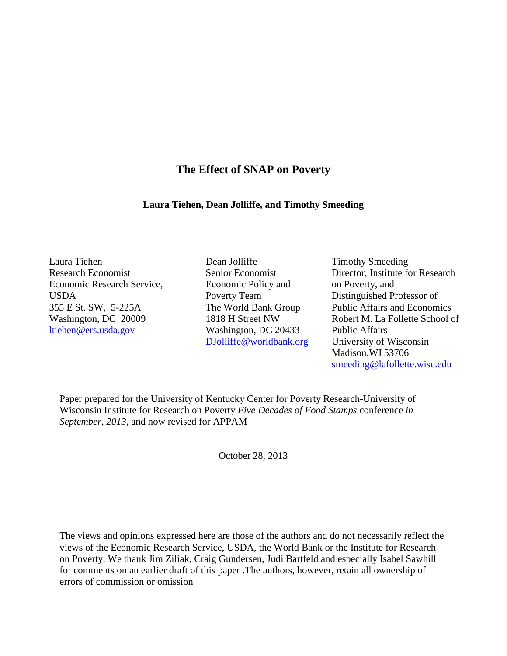# **The Effect of SNAP on Poverty**

## **Laura Tiehen, Dean Jolliffe, and Timothy Smeeding**

Laura Tiehen Research Economist Economic Research Service, USDA 355 E St. SW, 5-225A Washington, DC 20009 [ltiehen@ers.usda.gov](mailto:ltiehen@ers.usda.gov)

- Dean Jolliffe Senior Economist Economic Policy and Poverty Team The World Bank Group 1818 H Street NW Washington, DC 20433 [DJolliffe@worldbank.org](mailto:djolliffe@worldbank.org)
- Timothy Smeeding Director, Institute for Research on Poverty, and Distinguished Professor of Public Affairs and Economics Robert M. La Follette School of Public Affairs University of Wisconsin Madison,WI 53706 [smeeding@lafollette.wisc.edu](mailto:smeeding@lafollette.wisc.edu)

Paper prepared for the University of Kentucky Center for Poverty Research-University of Wisconsin Institute for Research on Poverty *Five Decades of Food Stamps* conference *in September, 2013,* and now revised for APPAM

October 28, 2013

The views and opinions expressed here are those of the authors and do not necessarily reflect the views of the Economic Research Service, USDA, the World Bank or the Institute for Research on Poverty. We thank Jim Ziliak, Craig Gundersen, Judi Bartfeld and especially Isabel Sawhill for comments on an earlier draft of this paper .The authors, however, retain all ownership of errors of commission or omission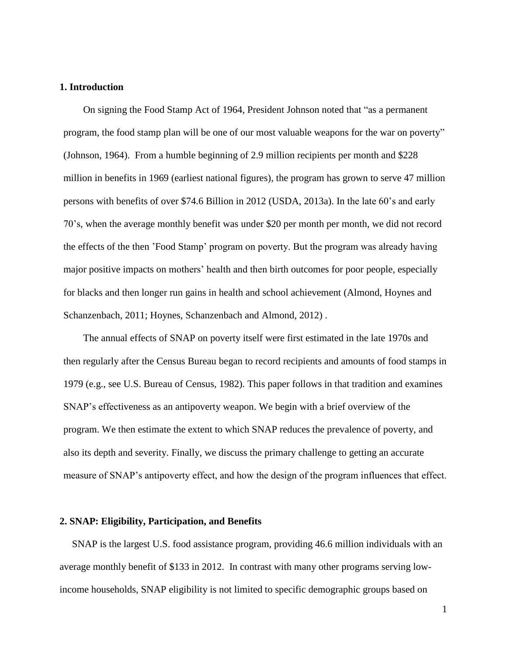## **1. Introduction**

 On signing the Food Stamp Act of 1964, President Johnson noted that "as a permanent program, the food stamp plan will be one of our most valuable weapons for the war on poverty" (Johnson, 1964). From a humble beginning of 2.9 million recipients per month and \$228 million in benefits in 1969 (earliest national figures), the program has grown to serve 47 million persons with benefits of over \$74.6 Billion in 2012 (USDA, 2013a). In the late 60's and early 70's, when the average monthly benefit was under \$20 per month per month, we did not record the effects of the then 'Food Stamp' program on poverty. But the program was already having major positive impacts on mothers' health and then birth outcomes for poor people, especially for blacks and then longer run gains in health and school achievement (Almond, Hoynes and Schanzenbach, 2011; Hoynes, Schanzenbach and Almond, 2012) .

 The annual effects of SNAP on poverty itself were first estimated in the late 1970s and then regularly after the Census Bureau began to record recipients and amounts of food stamps in 1979 (e.g., see U.S. Bureau of Census, 1982). This paper follows in that tradition and examines SNAP's effectiveness as an antipoverty weapon. We begin with a brief overview of the program. We then estimate the extent to which SNAP reduces the prevalence of poverty, and also its depth and severity. Finally, we discuss the primary challenge to getting an accurate measure of SNAP's antipoverty effect, and how the design of the program influences that effect.

## **2. SNAP: Eligibility, Participation, and Benefits**

 SNAP is the largest U.S. food assistance program, providing 46.6 million individuals with an average monthly benefit of \$133 in 2012. In contrast with many other programs serving lowincome households, SNAP eligibility is not limited to specific demographic groups based on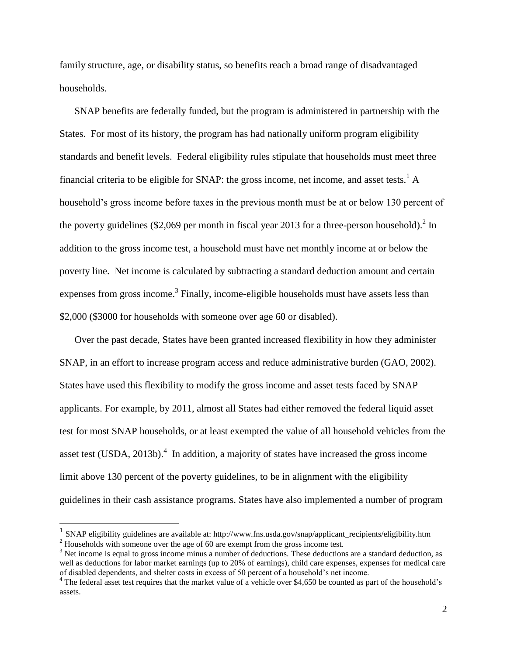family structure, age, or disability status, so benefits reach a broad range of disadvantaged households.

SNAP benefits are federally funded, but the program is administered in partnership with the States. For most of its history, the program has had nationally uniform program eligibility standards and benefit levels. Federal eligibility rules stipulate that households must meet three financial criteria to be eligible for SNAP: the gross income, net income, and asset tests.<sup>1</sup> A household's gross income before taxes in the previous month must be at or below 130 percent of the poverty guidelines (\$2,069 per month in fiscal year 2013 for a three-person household).<sup>2</sup> In addition to the gross income test, a household must have net monthly income at or below the poverty line. Net income is calculated by subtracting a standard deduction amount and certain expenses from gross income.<sup>3</sup> Finally, income-eligible households must have assets less than \$2,000 (\$3000 for households with someone over age 60 or disabled).

Over the past decade, States have been granted increased flexibility in how they administer SNAP, in an effort to increase program access and reduce administrative burden (GAO, 2002). States have used this flexibility to modify the gross income and asset tests faced by SNAP applicants. For example, by 2011, almost all States had either removed the federal liquid asset test for most SNAP households, or at least exempted the value of all household vehicles from the asset test (USDA, 2013b).<sup>4</sup> In addition, a majority of states have increased the gross income limit above 130 percent of the poverty guidelines, to be in alignment with the eligibility guidelines in their cash assistance programs. States have also implemented a number of program

 $\overline{\phantom{a}}$ 

<sup>&</sup>lt;sup>1</sup> SNAP eligibility guidelines are available at: http://www.fns.usda.gov/snap/applicant\_recipients/eligibility.htm <sup>2</sup> Households with someone over the age of 60 are exempt from the gross income test.

<sup>&</sup>lt;sup>3</sup> Net income is equal to gross income minus a number of deductions. These deductions are a standard deduction, as well as deductions for labor market earnings (up to 20% of earnings), child care expenses, expenses for medical care of disabled dependents, and shelter costs in excess of 50 percent of a household's net income.

<sup>&</sup>lt;sup>4</sup> The federal asset test requires that the market value of a vehicle over \$4,650 be counted as part of the household's assets.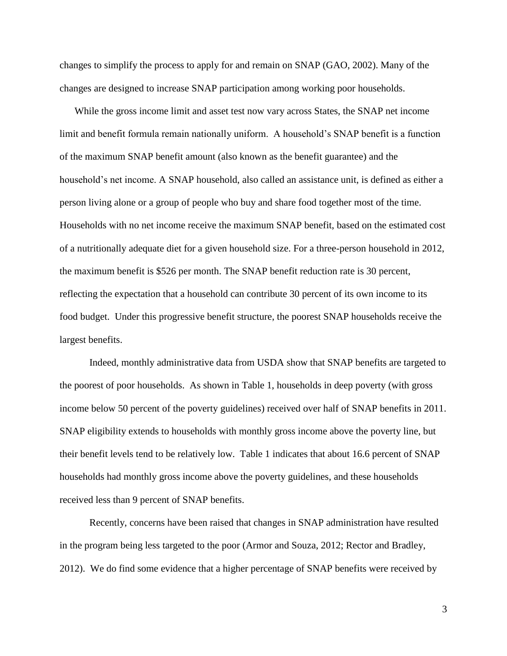changes to simplify the process to apply for and remain on SNAP (GAO, 2002). Many of the changes are designed to increase SNAP participation among working poor households.

While the gross income limit and asset test now vary across States, the SNAP net income limit and benefit formula remain nationally uniform. A household's SNAP benefit is a function of the maximum SNAP benefit amount (also known as the benefit guarantee) and the household's net income. A SNAP household, also called an assistance unit, is defined as either a person living alone or a group of people who buy and share food together most of the time. Households with no net income receive the maximum SNAP benefit, based on the estimated cost of a nutritionally adequate diet for a given household size. For a three-person household in 2012, the maximum benefit is \$526 per month. The SNAP benefit reduction rate is 30 percent, reflecting the expectation that a household can contribute 30 percent of its own income to its food budget. Under this progressive benefit structure, the poorest SNAP households receive the largest benefits.

Indeed, monthly administrative data from USDA show that SNAP benefits are targeted to the poorest of poor households. As shown in Table 1, households in deep poverty (with gross income below 50 percent of the poverty guidelines) received over half of SNAP benefits in 2011. SNAP eligibility extends to households with monthly gross income above the poverty line, but their benefit levels tend to be relatively low. Table 1 indicates that about 16.6 percent of SNAP households had monthly gross income above the poverty guidelines, and these households received less than 9 percent of SNAP benefits.

Recently, concerns have been raised that changes in SNAP administration have resulted in the program being less targeted to the poor (Armor and Souza, 2012; Rector and Bradley, 2012). We do find some evidence that a higher percentage of SNAP benefits were received by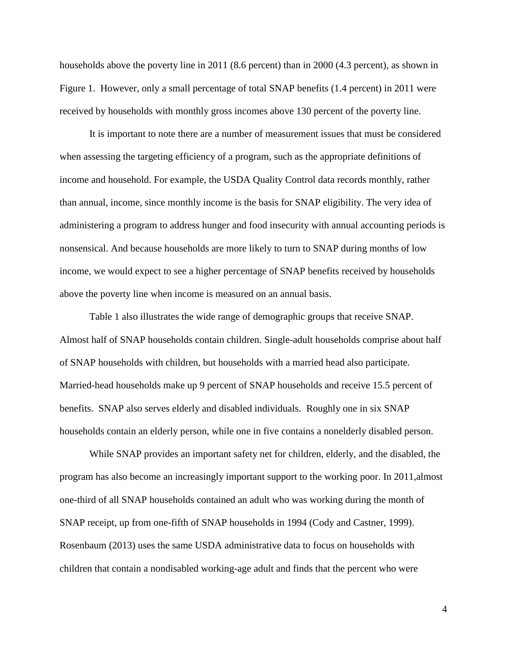households above the poverty line in 2011 (8.6 percent) than in 2000 (4.3 percent), as shown in Figure 1. However, only a small percentage of total SNAP benefits (1.4 percent) in 2011 were received by households with monthly gross incomes above 130 percent of the poverty line.

It is important to note there are a number of measurement issues that must be considered when assessing the targeting efficiency of a program, such as the appropriate definitions of income and household. For example, the USDA Quality Control data records monthly, rather than annual, income, since monthly income is the basis for SNAP eligibility. The very idea of administering a program to address hunger and food insecurity with annual accounting periods is nonsensical. And because households are more likely to turn to SNAP during months of low income, we would expect to see a higher percentage of SNAP benefits received by households above the poverty line when income is measured on an annual basis.

Table 1 also illustrates the wide range of demographic groups that receive SNAP. Almost half of SNAP households contain children. Single-adult households comprise about half of SNAP households with children, but households with a married head also participate. Married-head households make up 9 percent of SNAP households and receive 15.5 percent of benefits. SNAP also serves elderly and disabled individuals. Roughly one in six SNAP households contain an elderly person, while one in five contains a nonelderly disabled person.

While SNAP provides an important safety net for children, elderly, and the disabled, the program has also become an increasingly important support to the working poor. In 2011,almost one-third of all SNAP households contained an adult who was working during the month of SNAP receipt, up from one-fifth of SNAP households in 1994 (Cody and Castner, 1999). Rosenbaum (2013) uses the same USDA administrative data to focus on households with children that contain a nondisabled working-age adult and finds that the percent who were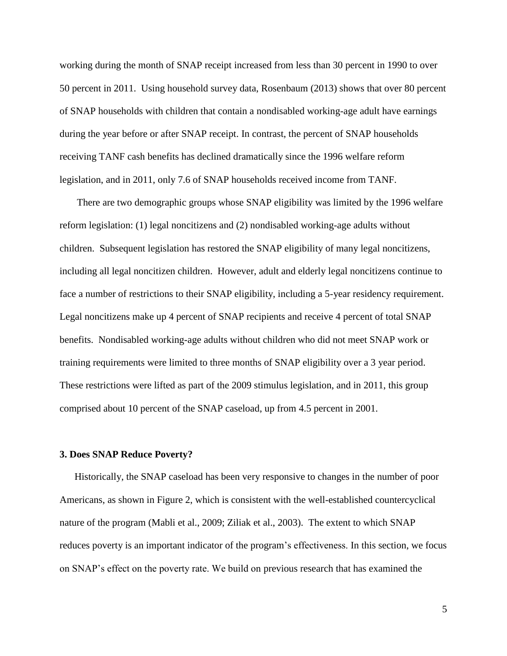working during the month of SNAP receipt increased from less than 30 percent in 1990 to over 50 percent in 2011. Using household survey data, Rosenbaum (2013) shows that over 80 percent of SNAP households with children that contain a nondisabled working-age adult have earnings during the year before or after SNAP receipt. In contrast, the percent of SNAP households receiving TANF cash benefits has declined dramatically since the 1996 welfare reform legislation, and in 2011, only 7.6 of SNAP households received income from TANF.

 There are two demographic groups whose SNAP eligibility was limited by the 1996 welfare reform legislation: (1) legal noncitizens and (2) nondisabled working-age adults without children. Subsequent legislation has restored the SNAP eligibility of many legal noncitizens, including all legal noncitizen children. However, adult and elderly legal noncitizens continue to face a number of restrictions to their SNAP eligibility, including a 5-year residency requirement. Legal noncitizens make up 4 percent of SNAP recipients and receive 4 percent of total SNAP benefits. Nondisabled working-age adults without children who did not meet SNAP work or training requirements were limited to three months of SNAP eligibility over a 3 year period. These restrictions were lifted as part of the 2009 stimulus legislation, and in 2011, this group comprised about 10 percent of the SNAP caseload, up from 4.5 percent in 2001.

#### **3. Does SNAP Reduce Poverty?**

Historically, the SNAP caseload has been very responsive to changes in the number of poor Americans, as shown in Figure 2, which is consistent with the well-established countercyclical nature of the program (Mabli et al., 2009; Ziliak et al., 2003). The extent to which SNAP reduces poverty is an important indicator of the program's effectiveness. In this section, we focus on SNAP's effect on the poverty rate. We build on previous research that has examined the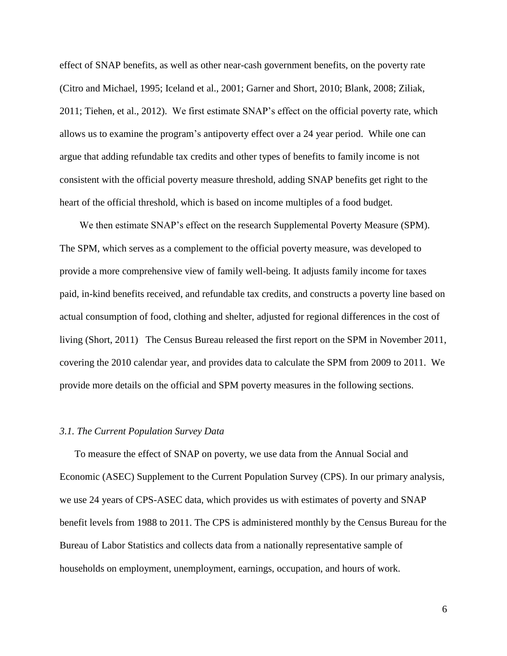effect of SNAP benefits, as well as other near-cash government benefits, on the poverty rate (Citro and Michael, 1995; Iceland et al., 2001; Garner and Short, 2010; Blank, 2008; Ziliak, 2011; Tiehen, et al., 2012). We first estimate SNAP's effect on the official poverty rate, which allows us to examine the program's antipoverty effect over a 24 year period. While one can argue that adding refundable tax credits and other types of benefits to family income is not consistent with the official poverty measure threshold, adding SNAP benefits get right to the heart of the official threshold, which is based on income multiples of a food budget.

We then estimate SNAP's effect on the research Supplemental Poverty Measure (SPM). The SPM, which serves as a complement to the official poverty measure, was developed to provide a more comprehensive view of family well-being. It adjusts family income for taxes paid, in-kind benefits received, and refundable tax credits, and constructs a poverty line based on actual consumption of food, clothing and shelter, adjusted for regional differences in the cost of living (Short, 2011) The Census Bureau released the first report on the SPM in November 2011, covering the 2010 calendar year, and provides data to calculate the SPM from 2009 to 2011. We provide more details on the official and SPM poverty measures in the following sections.

#### *3.1. The Current Population Survey Data*

To measure the effect of SNAP on poverty, we use data from the Annual Social and Economic (ASEC) Supplement to the Current Population Survey (CPS). In our primary analysis, we use 24 years of CPS-ASEC data, which provides us with estimates of poverty and SNAP benefit levels from 1988 to 2011. The CPS is administered monthly by the Census Bureau for the Bureau of Labor Statistics and collects data from a nationally representative sample of households on employment, unemployment, earnings, occupation, and hours of work.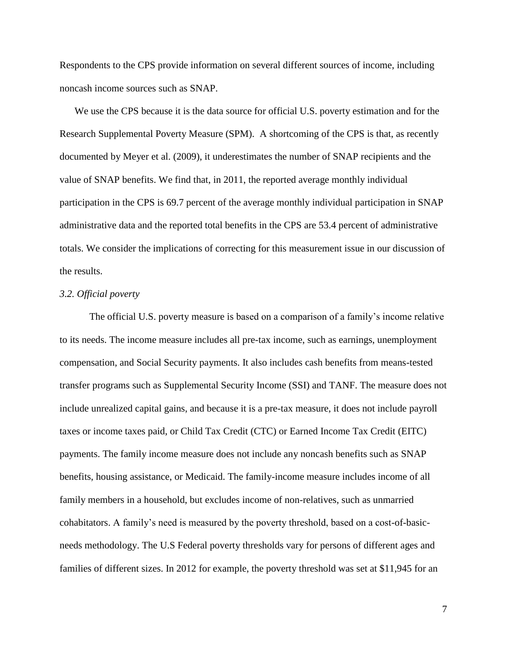Respondents to the CPS provide information on several different sources of income, including noncash income sources such as SNAP.

We use the CPS because it is the data source for official U.S. poverty estimation and for the Research Supplemental Poverty Measure (SPM). A shortcoming of the CPS is that, as recently documented by Meyer et al. (2009), it underestimates the number of SNAP recipients and the value of SNAP benefits. We find that, in 2011, the reported average monthly individual participation in the CPS is 69.7 percent of the average monthly individual participation in SNAP administrative data and the reported total benefits in the CPS are 53.4 percent of administrative totals. We consider the implications of correcting for this measurement issue in our discussion of the results.

#### *3.2. Official poverty*

The official U.S. poverty measure is based on a comparison of a family's income relative to its needs. The income measure includes all pre-tax income, such as earnings, unemployment compensation, and Social Security payments. It also includes cash benefits from means-tested transfer programs such as Supplemental Security Income (SSI) and TANF. The measure does not include unrealized capital gains, and because it is a pre-tax measure, it does not include payroll taxes or income taxes paid, or Child Tax Credit (CTC) or Earned Income Tax Credit (EITC) payments. The family income measure does not include any noncash benefits such as SNAP benefits, housing assistance, or Medicaid. The family-income measure includes income of all family members in a household, but excludes income of non-relatives, such as unmarried cohabitators. A family's need is measured by the poverty threshold, based on a cost-of-basicneeds methodology. The U.S Federal poverty thresholds vary for persons of different ages and families of different sizes. In 2012 for example, the poverty threshold was set at \$11,945 for an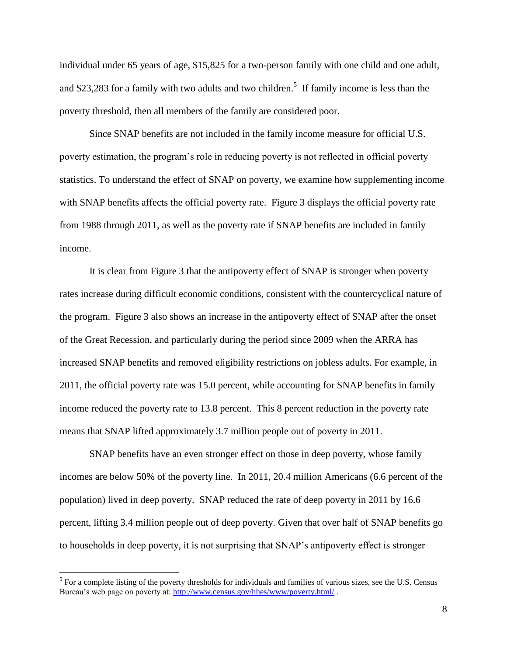individual under 65 years of age, \$15,825 for a two-person family with one child and one adult, and \$23,283 for a family with two adults and two children.<sup>5</sup> If family income is less than the poverty threshold, then all members of the family are considered poor.

Since SNAP benefits are not included in the family income measure for official U.S. poverty estimation, the program's role in reducing poverty is not reflected in official poverty statistics. To understand the effect of SNAP on poverty, we examine how supplementing income with SNAP benefits affects the official poverty rate. Figure 3 displays the official poverty rate from 1988 through 2011, as well as the poverty rate if SNAP benefits are included in family income.

It is clear from Figure 3 that the antipoverty effect of SNAP is stronger when poverty rates increase during difficult economic conditions, consistent with the countercyclical nature of the program. Figure 3 also shows an increase in the antipoverty effect of SNAP after the onset of the Great Recession, and particularly during the period since 2009 when the ARRA has increased SNAP benefits and removed eligibility restrictions on jobless adults. For example, in 2011, the official poverty rate was 15.0 percent, while accounting for SNAP benefits in family income reduced the poverty rate to 13.8 percent. This 8 percent reduction in the poverty rate means that SNAP lifted approximately 3.7 million people out of poverty in 2011.

SNAP benefits have an even stronger effect on those in deep poverty, whose family incomes are below 50% of the poverty line. In 2011, 20.4 million Americans (6.6 percent of the population) lived in deep poverty. SNAP reduced the rate of deep poverty in 2011 by 16.6 percent, lifting 3.4 million people out of deep poverty. Given that over half of SNAP benefits go to households in deep poverty, it is not surprising that SNAP's antipoverty effect is stronger

 $\overline{\phantom{a}}$ 

 $<sup>5</sup>$  For a complete listing of the poverty thresholds for individuals and families of various sizes, see the U.S. Census</sup> Bureau's web page on poverty at:<http://www.census.gov/hhes/www/poverty.html/> .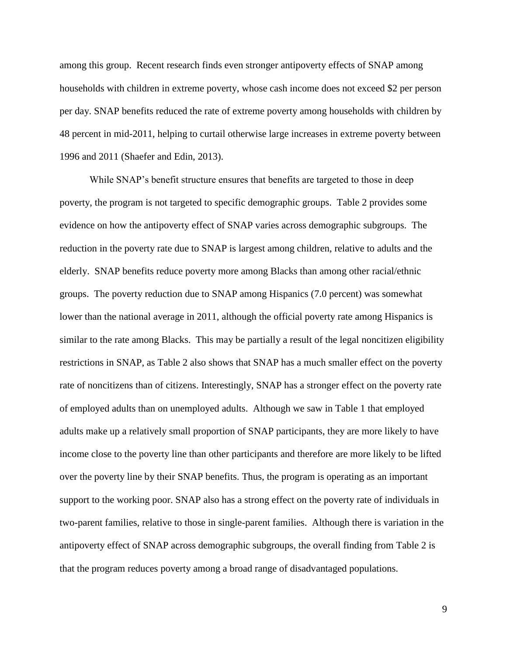among this group. Recent research finds even stronger antipoverty effects of SNAP among households with children in extreme poverty, whose cash income does not exceed \$2 per person per day. SNAP benefits reduced the rate of extreme poverty among households with children by 48 percent in mid-2011, helping to curtail otherwise large increases in extreme poverty between 1996 and 2011 (Shaefer and Edin, 2013).

While SNAP's benefit structure ensures that benefits are targeted to those in deep poverty, the program is not targeted to specific demographic groups. Table 2 provides some evidence on how the antipoverty effect of SNAP varies across demographic subgroups. The reduction in the poverty rate due to SNAP is largest among children, relative to adults and the elderly. SNAP benefits reduce poverty more among Blacks than among other racial/ethnic groups. The poverty reduction due to SNAP among Hispanics (7.0 percent) was somewhat lower than the national average in 2011, although the official poverty rate among Hispanics is similar to the rate among Blacks. This may be partially a result of the legal noncitizen eligibility restrictions in SNAP, as Table 2 also shows that SNAP has a much smaller effect on the poverty rate of noncitizens than of citizens. Interestingly, SNAP has a stronger effect on the poverty rate of employed adults than on unemployed adults. Although we saw in Table 1 that employed adults make up a relatively small proportion of SNAP participants, they are more likely to have income close to the poverty line than other participants and therefore are more likely to be lifted over the poverty line by their SNAP benefits. Thus, the program is operating as an important support to the working poor. SNAP also has a strong effect on the poverty rate of individuals in two-parent families, relative to those in single-parent families. Although there is variation in the antipoverty effect of SNAP across demographic subgroups, the overall finding from Table 2 is that the program reduces poverty among a broad range of disadvantaged populations.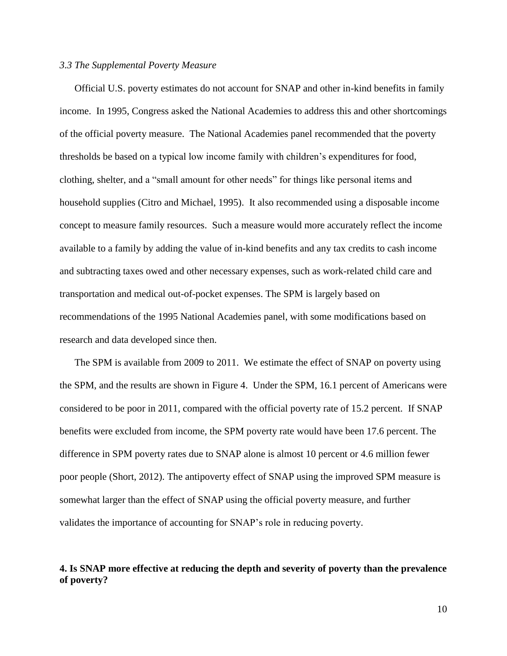#### *3.3 The Supplemental Poverty Measure*

Official U.S. poverty estimates do not account for SNAP and other in-kind benefits in family income. In 1995, Congress asked the National Academies to address this and other shortcomings of the official poverty measure. The National Academies panel recommended that the poverty thresholds be based on a typical low income family with children's expenditures for food, clothing, shelter, and a "small amount for other needs" for things like personal items and household supplies (Citro and Michael, 1995). It also recommended using a disposable income concept to measure family resources. Such a measure would more accurately reflect the income available to a family by adding the value of in-kind benefits and any tax credits to cash income and subtracting taxes owed and other necessary expenses, such as work-related child care and transportation and medical out-of-pocket expenses. The SPM is largely based on recommendations of the 1995 National Academies panel, with some modifications based on research and data developed since then.

The SPM is available from 2009 to 2011. We estimate the effect of SNAP on poverty using the SPM, and the results are shown in Figure 4. Under the SPM, 16.1 percent of Americans were considered to be poor in 2011, compared with the official poverty rate of 15.2 percent. If SNAP benefits were excluded from income, the SPM poverty rate would have been 17.6 percent. The difference in SPM poverty rates due to SNAP alone is almost 10 percent or 4.6 million fewer poor people (Short, 2012). The antipoverty effect of SNAP using the improved SPM measure is somewhat larger than the effect of SNAP using the official poverty measure, and further validates the importance of accounting for SNAP's role in reducing poverty.

## **4. Is SNAP more effective at reducing the depth and severity of poverty than the prevalence of poverty?**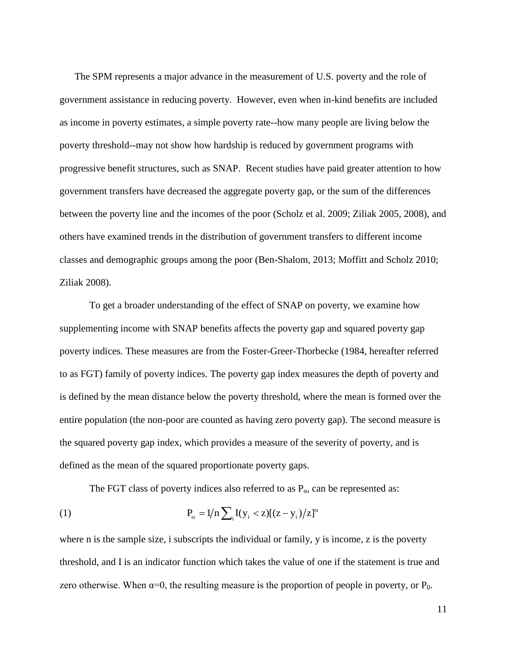The SPM represents a major advance in the measurement of U.S. poverty and the role of government assistance in reducing poverty. However, even when in-kind benefits are included as income in poverty estimates, a simple poverty rate--how many people are living below the poverty threshold--may not show how hardship is reduced by government programs with progressive benefit structures, such as SNAP. Recent studies have paid greater attention to how government transfers have decreased the aggregate poverty gap, or the sum of the differences between the poverty line and the incomes of the poor (Scholz et al. 2009; Ziliak 2005, 2008), and others have examined trends in the distribution of government transfers to different income classes and demographic groups among the poor (Ben-Shalom, 2013; Moffitt and Scholz 2010; Ziliak 2008).

To get a broader understanding of the effect of SNAP on poverty, we examine how supplementing income with SNAP benefits affects the poverty gap and squared poverty gap poverty indices. These measures are from the Foster-Greer-Thorbecke (1984, hereafter referred to as FGT) family of poverty indices. The poverty gap index measures the depth of poverty and is defined by the mean distance below the poverty threshold, where the mean is formed over the entire population (the non-poor are counted as having zero poverty gap). The second measure is the squared poverty gap index, which provides a measure of the severity of poverty, and is defined as the mean of the squared proportionate poverty gaps.

The FGT class of poverty indices also referred to as  $P_{\alpha}$ , can be represented as:

(1) 
$$
P_{\alpha} = 1/n \sum_{i} I(y_i < z) [(z - y_i)/z]^{\alpha}
$$

where n is the sample size, i subscripts the individual or family, y is income, z is the poverty threshold, and I is an indicator function which takes the value of one if the statement is true and zero otherwise. When  $\alpha=0$ , the resulting measure is the proportion of people in poverty, or  $P_0$ .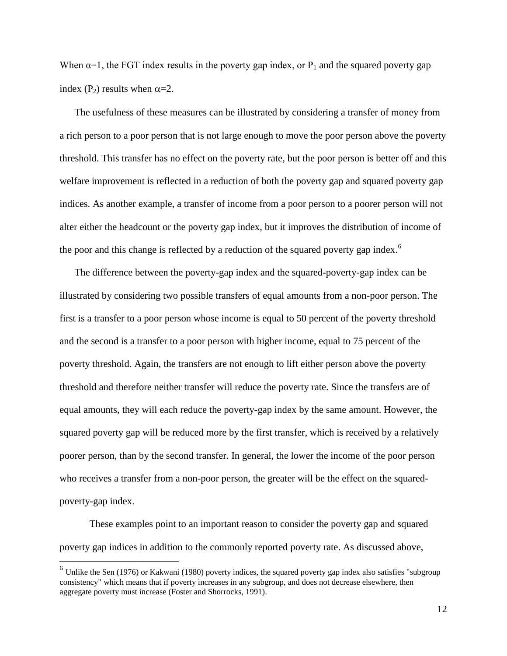When  $\alpha=1$ , the FGT index results in the poverty gap index, or  $P_1$  and the squared poverty gap index (P<sub>2</sub>) results when  $\alpha$ =2.

The usefulness of these measures can be illustrated by considering a transfer of money from a rich person to a poor person that is not large enough to move the poor person above the poverty threshold. This transfer has no effect on the poverty rate, but the poor person is better off and this welfare improvement is reflected in a reduction of both the poverty gap and squared poverty gap indices. As another example, a transfer of income from a poor person to a poorer person will not alter either the headcount or the poverty gap index, but it improves the distribution of income of the poor and this change is reflected by a reduction of the squared poverty gap index.<sup>6</sup>

The difference between the poverty-gap index and the squared-poverty-gap index can be illustrated by considering two possible transfers of equal amounts from a non-poor person. The first is a transfer to a poor person whose income is equal to 50 percent of the poverty threshold and the second is a transfer to a poor person with higher income, equal to 75 percent of the poverty threshold. Again, the transfers are not enough to lift either person above the poverty threshold and therefore neither transfer will reduce the poverty rate. Since the transfers are of equal amounts, they will each reduce the poverty-gap index by the same amount. However, the squared poverty gap will be reduced more by the first transfer, which is received by a relatively poorer person, than by the second transfer. In general, the lower the income of the poor person who receives a transfer from a non-poor person, the greater will be the effect on the squaredpoverty-gap index.

These examples point to an important reason to consider the poverty gap and squared poverty gap indices in addition to the commonly reported poverty rate. As discussed above,

 $\overline{a}$ 

<sup>&</sup>lt;sup>6</sup> Unlike the Sen (1976) or Kakwani (1980) poverty indices, the squared poverty gap index also satisfies "subgroup consistency" which means that if poverty increases in any subgroup, and does not decrease elsewhere, then aggregate poverty must increase (Foster and Shorrocks, 1991).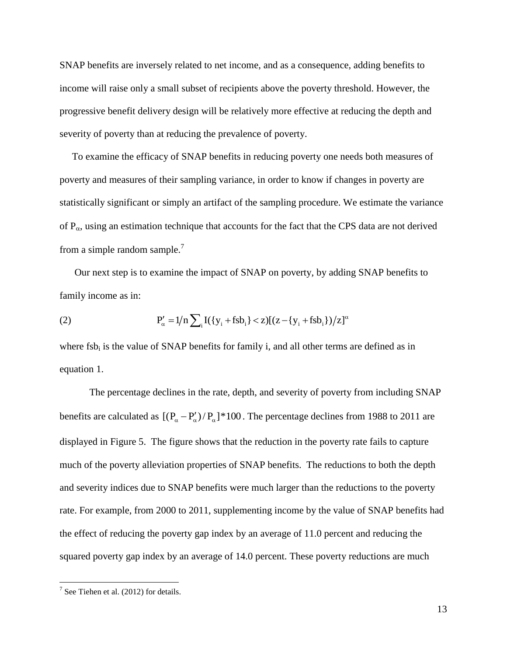SNAP benefits are inversely related to net income, and as a consequence, adding benefits to income will raise only a small subset of recipients above the poverty threshold. However, the progressive benefit delivery design will be relatively more effective at reducing the depth and severity of poverty than at reducing the prevalence of poverty.

 To examine the efficacy of SNAP benefits in reducing poverty one needs both measures of poverty and measures of their sampling variance, in order to know if changes in poverty are statistically significant or simply an artifact of the sampling procedure. We estimate the variance of  $P_{\alpha}$ , using an estimation technique that accounts for the fact that the CPS data are not derived from a simple random sample.<sup>7</sup>

Our next step is to examine the impact of SNAP on poverty, by adding SNAP benefits to family income as in:

(2) 
$$
P'_{\alpha} = 1/n \sum_{i} I(\{y_{i} + fsb_{i}\} < z)[(z - \{y_{i} + fsb_{i}\})/z]^{\alpha}
$$

where  $f_s$  is the value of SNAP benefits for family i, and all other terms are defined as in equation 1.

The percentage declines in the rate, depth, and severity of poverty from including SNAP benefits are calculated as  $[(P_{\alpha} - P_{\alpha}')/P_{\alpha}]$ <sup>\*</sup>100. The percentage declines from 1988 to 2011 are displayed in Figure 5. The figure shows that the reduction in the poverty rate fails to capture much of the poverty alleviation properties of SNAP benefits. The reductions to both the depth and severity indices due to SNAP benefits were much larger than the reductions to the poverty rate. For example, from 2000 to 2011, supplementing income by the value of SNAP benefits had the effect of reducing the poverty gap index by an average of 11.0 percent and reducing the squared poverty gap index by an average of 14.0 percent. These poverty reductions are much

 7 See Tiehen et al. (2012) for details.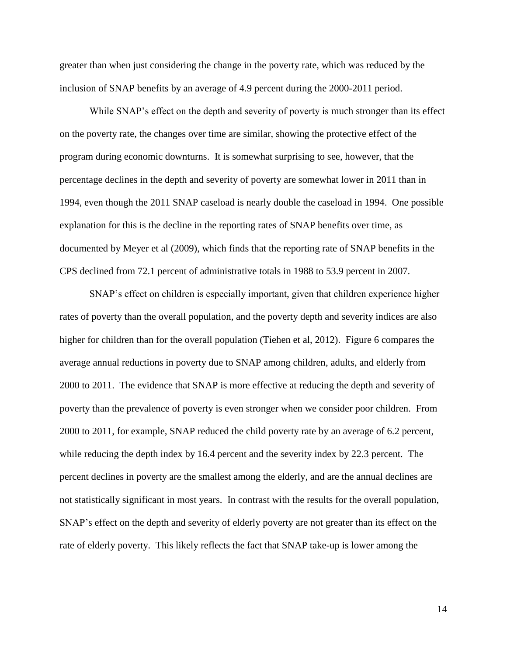greater than when just considering the change in the poverty rate, which was reduced by the inclusion of SNAP benefits by an average of 4.9 percent during the 2000-2011 period.

While SNAP's effect on the depth and severity of poverty is much stronger than its effect on the poverty rate, the changes over time are similar, showing the protective effect of the program during economic downturns. It is somewhat surprising to see, however, that the percentage declines in the depth and severity of poverty are somewhat lower in 2011 than in 1994, even though the 2011 SNAP caseload is nearly double the caseload in 1994. One possible explanation for this is the decline in the reporting rates of SNAP benefits over time, as documented by Meyer et al (2009), which finds that the reporting rate of SNAP benefits in the CPS declined from 72.1 percent of administrative totals in 1988 to 53.9 percent in 2007.

SNAP's effect on children is especially important, given that children experience higher rates of poverty than the overall population, and the poverty depth and severity indices are also higher for children than for the overall population (Tiehen et al, 2012). Figure 6 compares the average annual reductions in poverty due to SNAP among children, adults, and elderly from 2000 to 2011. The evidence that SNAP is more effective at reducing the depth and severity of poverty than the prevalence of poverty is even stronger when we consider poor children. From 2000 to 2011, for example, SNAP reduced the child poverty rate by an average of 6.2 percent, while reducing the depth index by 16.4 percent and the severity index by 22.3 percent. The percent declines in poverty are the smallest among the elderly, and are the annual declines are not statistically significant in most years. In contrast with the results for the overall population, SNAP's effect on the depth and severity of elderly poverty are not greater than its effect on the rate of elderly poverty. This likely reflects the fact that SNAP take-up is lower among the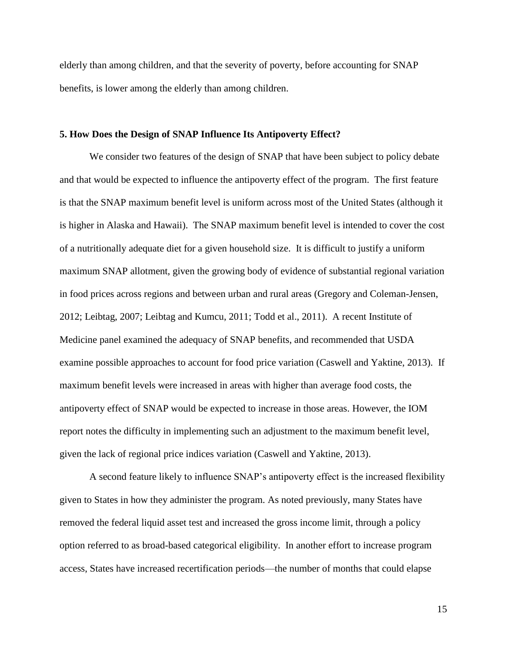elderly than among children, and that the severity of poverty, before accounting for SNAP benefits, is lower among the elderly than among children.

### **5. How Does the Design of SNAP Influence Its Antipoverty Effect?**

We consider two features of the design of SNAP that have been subject to policy debate and that would be expected to influence the antipoverty effect of the program. The first feature is that the SNAP maximum benefit level is uniform across most of the United States (although it is higher in Alaska and Hawaii). The SNAP maximum benefit level is intended to cover the cost of a nutritionally adequate diet for a given household size. It is difficult to justify a uniform maximum SNAP allotment, given the growing body of evidence of substantial regional variation in food prices across regions and between urban and rural areas (Gregory and Coleman-Jensen, 2012; Leibtag, 2007; Leibtag and Kumcu, 2011; Todd et al., 2011). A recent Institute of Medicine panel examined the adequacy of SNAP benefits, and recommended that USDA examine possible approaches to account for food price variation (Caswell and Yaktine, 2013). If maximum benefit levels were increased in areas with higher than average food costs, the antipoverty effect of SNAP would be expected to increase in those areas. However, the IOM report notes the difficulty in implementing such an adjustment to the maximum benefit level, given the lack of regional price indices variation (Caswell and Yaktine, 2013).

A second feature likely to influence SNAP's antipoverty effect is the increased flexibility given to States in how they administer the program. As noted previously, many States have removed the federal liquid asset test and increased the gross income limit, through a policy option referred to as broad-based categorical eligibility. In another effort to increase program access, States have increased recertification periods—the number of months that could elapse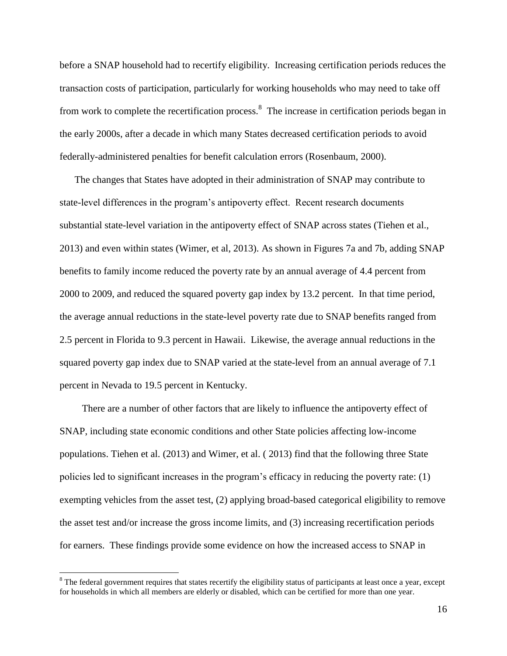before a SNAP household had to recertify eligibility. Increasing certification periods reduces the transaction costs of participation, particularly for working households who may need to take off from work to complete the recertification process.<sup>8</sup> The increase in certification periods began in the early 2000s, after a decade in which many States decreased certification periods to avoid federally-administered penalties for benefit calculation errors (Rosenbaum, 2000).

The changes that States have adopted in their administration of SNAP may contribute to state-level differences in the program's antipoverty effect. Recent research documents substantial state-level variation in the antipoverty effect of SNAP across states (Tiehen et al., 2013) and even within states (Wimer, et al, 2013). As shown in Figures 7a and 7b, adding SNAP benefits to family income reduced the poverty rate by an annual average of 4.4 percent from 2000 to 2009, and reduced the squared poverty gap index by 13.2 percent. In that time period, the average annual reductions in the state-level poverty rate due to SNAP benefits ranged from 2.5 percent in Florida to 9.3 percent in Hawaii. Likewise, the average annual reductions in the squared poverty gap index due to SNAP varied at the state-level from an annual average of 7.1 percent in Nevada to 19.5 percent in Kentucky.

 There are a number of other factors that are likely to influence the antipoverty effect of SNAP, including state economic conditions and other State policies affecting low-income populations. Tiehen et al. (2013) and Wimer, et al. ( 2013) find that the following three State policies led to significant increases in the program's efficacy in reducing the poverty rate: (1) exempting vehicles from the asset test, (2) applying broad-based categorical eligibility to remove the asset test and/or increase the gross income limits, and (3) increasing recertification periods for earners. These findings provide some evidence on how the increased access to SNAP in

 $\overline{\phantom{a}}$ 

<sup>&</sup>lt;sup>8</sup> The federal government requires that states recertify the eligibility status of participants at least once a year, except for households in which all members are elderly or disabled, which can be certified for more than one year.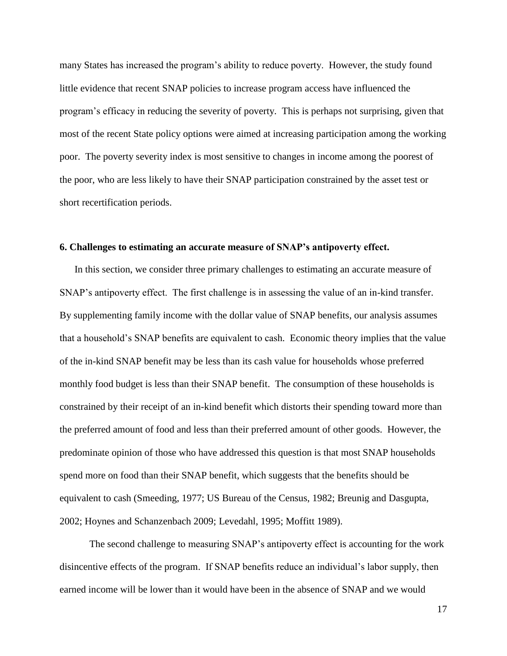many States has increased the program's ability to reduce poverty. However, the study found little evidence that recent SNAP policies to increase program access have influenced the program's efficacy in reducing the severity of poverty. This is perhaps not surprising, given that most of the recent State policy options were aimed at increasing participation among the working poor. The poverty severity index is most sensitive to changes in income among the poorest of the poor, who are less likely to have their SNAP participation constrained by the asset test or short recertification periods.

#### **6. Challenges to estimating an accurate measure of SNAP's antipoverty effect.**

In this section, we consider three primary challenges to estimating an accurate measure of SNAP's antipoverty effect. The first challenge is in assessing the value of an in-kind transfer. By supplementing family income with the dollar value of SNAP benefits, our analysis assumes that a household's SNAP benefits are equivalent to cash. Economic theory implies that the value of the in-kind SNAP benefit may be less than its cash value for households whose preferred monthly food budget is less than their SNAP benefit. The consumption of these households is constrained by their receipt of an in-kind benefit which distorts their spending toward more than the preferred amount of food and less than their preferred amount of other goods. However, the predominate opinion of those who have addressed this question is that most SNAP households spend more on food than their SNAP benefit, which suggests that the benefits should be equivalent to cash (Smeeding, 1977; US Bureau of the Census, 1982; Breunig and Dasgupta, 2002; Hoynes and Schanzenbach 2009; Levedahl, 1995; Moffitt 1989).

The second challenge to measuring SNAP's antipoverty effect is accounting for the work disincentive effects of the program. If SNAP benefits reduce an individual's labor supply, then earned income will be lower than it would have been in the absence of SNAP and we would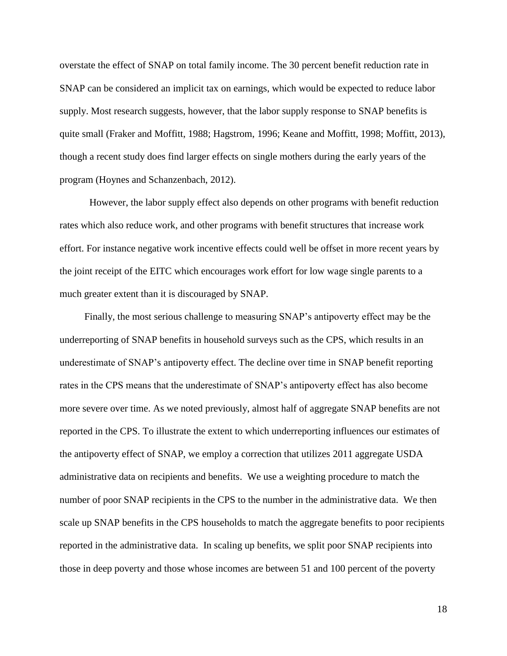overstate the effect of SNAP on total family income. The 30 percent benefit reduction rate in SNAP can be considered an implicit tax on earnings, which would be expected to reduce labor supply. Most research suggests, however, that the labor supply response to SNAP benefits is quite small (Fraker and Moffitt, 1988; Hagstrom, 1996; Keane and Moffitt, 1998; Moffitt, 2013), though a recent study does find larger effects on single mothers during the early years of the program (Hoynes and Schanzenbach, 2012).

However, the labor supply effect also depends on other programs with benefit reduction rates which also reduce work, and other programs with benefit structures that increase work effort. For instance negative work incentive effects could well be offset in more recent years by the joint receipt of the EITC which encourages work effort for low wage single parents to a much greater extent than it is discouraged by SNAP.

 Finally, the most serious challenge to measuring SNAP's antipoverty effect may be the underreporting of SNAP benefits in household surveys such as the CPS, which results in an underestimate of SNAP's antipoverty effect. The decline over time in SNAP benefit reporting rates in the CPS means that the underestimate of SNAP's antipoverty effect has also become more severe over time. As we noted previously, almost half of aggregate SNAP benefits are not reported in the CPS. To illustrate the extent to which underreporting influences our estimates of the antipoverty effect of SNAP, we employ a correction that utilizes 2011 aggregate USDA administrative data on recipients and benefits. We use a weighting procedure to match the number of poor SNAP recipients in the CPS to the number in the administrative data. We then scale up SNAP benefits in the CPS households to match the aggregate benefits to poor recipients reported in the administrative data. In scaling up benefits, we split poor SNAP recipients into those in deep poverty and those whose incomes are between 51 and 100 percent of the poverty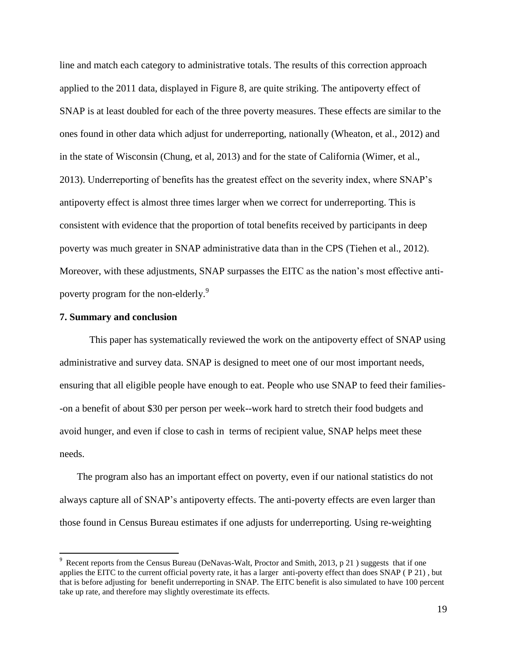line and match each category to administrative totals. The results of this correction approach applied to the 2011 data, displayed in Figure 8, are quite striking. The antipoverty effect of SNAP is at least doubled for each of the three poverty measures. These effects are similar to the ones found in other data which adjust for underreporting, nationally (Wheaton, et al., 2012) and in the state of Wisconsin (Chung, et al, 2013) and for the state of California (Wimer, et al., 2013). Underreporting of benefits has the greatest effect on the severity index, where SNAP's antipoverty effect is almost three times larger when we correct for underreporting. This is consistent with evidence that the proportion of total benefits received by participants in deep poverty was much greater in SNAP administrative data than in the CPS (Tiehen et al., 2012). Moreover, with these adjustments, SNAP surpasses the EITC as the nation's most effective antipoverty program for the non-elderly.<sup>9</sup>

### **7. Summary and conclusion**

 $\overline{\phantom{a}}$ 

This paper has systematically reviewed the work on the antipoverty effect of SNAP using administrative and survey data. SNAP is designed to meet one of our most important needs, ensuring that all eligible people have enough to eat. People who use SNAP to feed their families- -on a benefit of about \$30 per person per week--work hard to stretch their food budgets and avoid hunger, and even if close to cash in terms of recipient value, SNAP helps meet these needs.

 The program also has an important effect on poverty, even if our national statistics do not always capture all of SNAP's antipoverty effects. The anti-poverty effects are even larger than those found in Census Bureau estimates if one adjusts for underreporting. Using re-weighting

<sup>&</sup>lt;sup>9</sup> Recent reports from the Census Bureau (DeNavas-Walt, Proctor and Smith, 2013, p 21) suggests that if one applies the EITC to the current official poverty rate, it has a larger anti-poverty effect than does SNAP ( P 21) , but that is before adjusting for benefit underreporting in SNAP. The EITC benefit is also simulated to have 100 percent take up rate, and therefore may slightly overestimate its effects.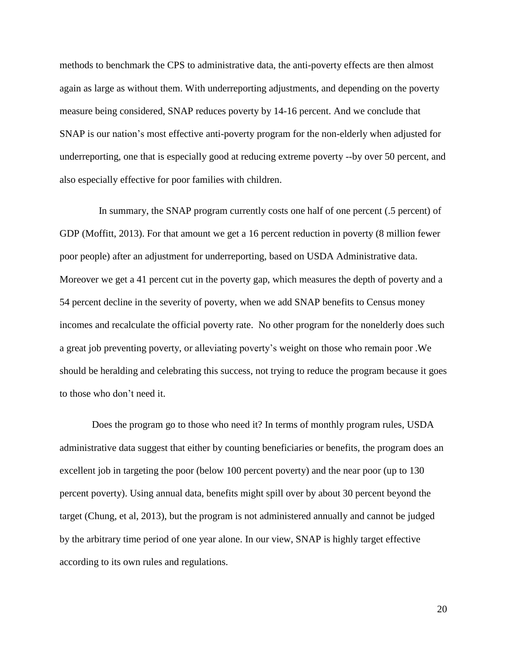methods to benchmark the CPS to administrative data, the anti-poverty effects are then almost again as large as without them. With underreporting adjustments, and depending on the poverty measure being considered, SNAP reduces poverty by 14-16 percent. And we conclude that SNAP is our nation's most effective anti-poverty program for the non-elderly when adjusted for underreporting, one that is especially good at reducing extreme poverty --by over 50 percent, and also especially effective for poor families with children.

 In summary, the SNAP program currently costs one half of one percent (.5 percent) of GDP (Moffitt, 2013). For that amount we get a 16 percent reduction in poverty (8 million fewer poor people) after an adjustment for underreporting, based on USDA Administrative data. Moreover we get a 41 percent cut in the poverty gap, which measures the depth of poverty and a 54 percent decline in the severity of poverty, when we add SNAP benefits to Census money incomes and recalculate the official poverty rate. No other program for the nonelderly does such a great job preventing poverty, or alleviating poverty's weight on those who remain poor .We should be heralding and celebrating this success, not trying to reduce the program because it goes to those who don't need it.

 Does the program go to those who need it? In terms of monthly program rules, USDA administrative data suggest that either by counting beneficiaries or benefits, the program does an excellent job in targeting the poor (below 100 percent poverty) and the near poor (up to 130 percent poverty). Using annual data, benefits might spill over by about 30 percent beyond the target (Chung, et al, 2013), but the program is not administered annually and cannot be judged by the arbitrary time period of one year alone. In our view, SNAP is highly target effective according to its own rules and regulations.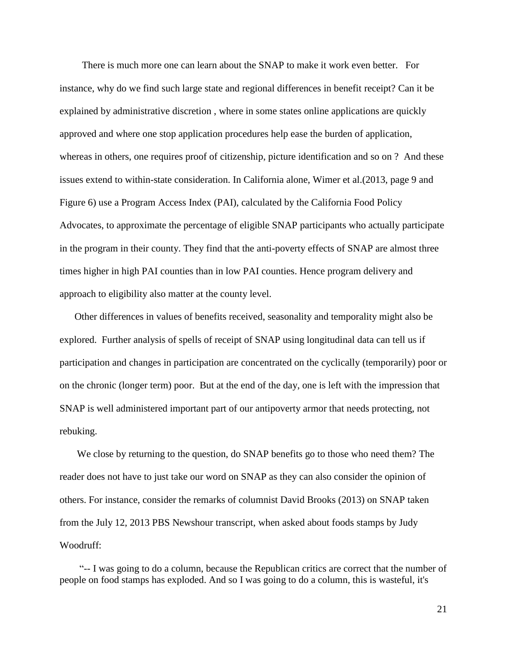There is much more one can learn about the SNAP to make it work even better. For instance, why do we find such large state and regional differences in benefit receipt? Can it be explained by administrative discretion , where in some states online applications are quickly approved and where one stop application procedures help ease the burden of application, whereas in others, one requires proof of citizenship, picture identification and so on ? And these issues extend to within-state consideration. In California alone, Wimer et al.(2013, page 9 and Figure 6) use a Program Access Index (PAI), calculated by the California Food Policy Advocates, to approximate the percentage of eligible SNAP participants who actually participate in the program in their county. They find that the anti-poverty effects of SNAP are almost three times higher in high PAI counties than in low PAI counties. Hence program delivery and approach to eligibility also matter at the county level.

 Other differences in values of benefits received, seasonality and temporality might also be explored. Further analysis of spells of receipt of SNAP using longitudinal data can tell us if participation and changes in participation are concentrated on the cyclically (temporarily) poor or on the chronic (longer term) poor. But at the end of the day, one is left with the impression that SNAP is well administered important part of our antipoverty armor that needs protecting, not rebuking.

 We close by returning to the question, do SNAP benefits go to those who need them? The reader does not have to just take our word on SNAP as they can also consider the opinion of others. For instance, consider the remarks of columnist David Brooks (2013) on SNAP taken from the July 12, 2013 PBS Newshour transcript, when asked about foods stamps by Judy Woodruff:

 "-- I was going to do a column, because the Republican critics are correct that the number of people on food stamps has exploded. And so I was going to do a column, this is wasteful, it's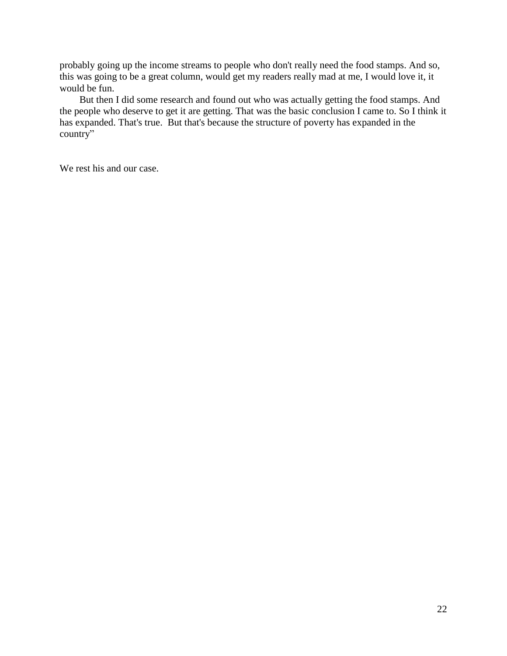probably going up the income streams to people who don't really need the food stamps. And so, this was going to be a great column, would get my readers really mad at me, I would love it, it would be fun.

 But then I did some research and found out who was actually getting the food stamps. And the people who deserve to get it are getting. That was the basic conclusion I came to. So I think it has expanded. That's true. But that's because the structure of poverty has expanded in the country"

We rest his and our case.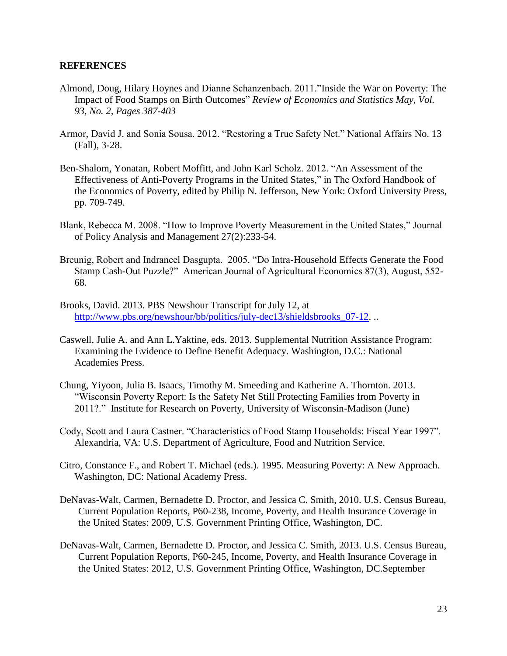### **REFERENCES**

- Almond, Doug, Hilary Hoynes and Dianne Schanzenbach. 2011."Inside the War on Poverty: The Impact of Food Stamps on Birth Outcomes" *Review of Economics and Statistics May, Vol. 93, No. 2, Pages 387-403*
- Armor, David J. and Sonia Sousa. 2012. "Restoring a True Safety Net." National Affairs No. 13 (Fall), 3-28.
- Ben-Shalom, Yonatan, Robert Moffitt, and John Karl Scholz. 2012. "An Assessment of the Effectiveness of Anti-Poverty Programs in the United States," in The Oxford Handbook of the Economics of Poverty, edited by Philip N. Jefferson, New York: Oxford University Press, pp. 709-749.
- Blank, Rebecca M. 2008. "How to Improve Poverty Measurement in the United States," Journal of Policy Analysis and Management 27(2):233-54.
- Breunig, Robert and Indraneel Dasgupta. 2005. "Do Intra-Household Effects Generate the Food Stamp Cash-Out Puzzle?" American Journal of Agricultural Economics 87(3), August, 552- 68.
- Brooks, David. 2013. PBS Newshour Transcript for July 12, at [http://www.pbs.org/newshour/bb/politics/july-dec13/shieldsbrooks\\_07-12.](http://www.pbs.org/newshour/bb/politics/july-dec13/shieldsbrooks_07-12) ..
- Caswell, Julie A. and Ann L.Yaktine, eds. 2013. Supplemental Nutrition Assistance Program: Examining the Evidence to Define Benefit Adequacy. Washington, D.C.: National Academies Press.
- Chung, Yiyoon, Julia B. Isaacs, Timothy M. Smeeding and Katherine A. Thornton. 2013. "Wisconsin Poverty Report: Is the Safety Net Still Protecting Families from Poverty in 2011?." Institute for Research on Poverty, University of Wisconsin-Madison (June)
- Cody, Scott and Laura Castner. "Characteristics of Food Stamp Households: Fiscal Year 1997". Alexandria, VA: U.S. Department of Agriculture, Food and Nutrition Service.
- Citro, Constance F., and Robert T. Michael (eds.). 1995. Measuring Poverty: A New Approach. Washington, DC: National Academy Press.
- DeNavas-Walt, Carmen, Bernadette D. Proctor, and Jessica C. Smith, 2010. U.S. Census Bureau, Current Population Reports, P60-238, Income, Poverty, and Health Insurance Coverage in the United States: 2009, U.S. Government Printing Office, Washington, DC.
- DeNavas-Walt, Carmen, Bernadette D. Proctor, and Jessica C. Smith, 2013. U.S. Census Bureau, Current Population Reports, P60-245, Income, Poverty, and Health Insurance Coverage in the United States: 2012, U.S. Government Printing Office, Washington, DC.September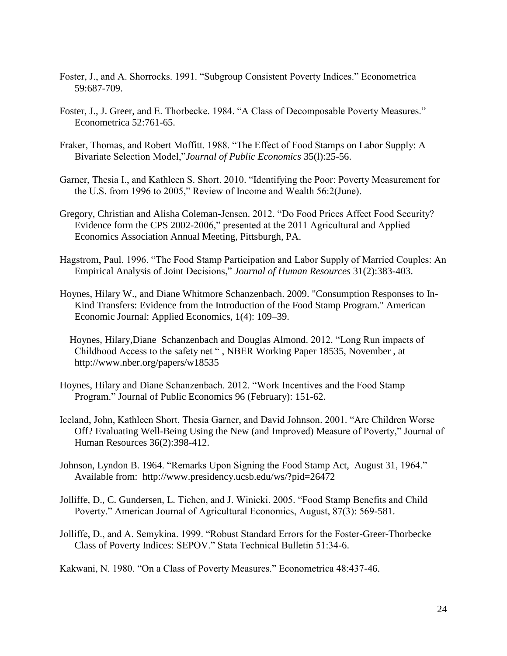- Foster, J., and A. Shorrocks. 1991. "Subgroup Consistent Poverty Indices." Econometrica 59:687-709.
- Foster, J., J. Greer, and E. Thorbecke. 1984. "A Class of Decomposable Poverty Measures." Econometrica 52:761-65.
- Fraker, Thomas, and Robert Moffitt. 1988. "The Effect of Food Stamps on Labor Supply: A Bivariate Selection Model,"*Journal of Public Economics* 35(l):25-56.
- Garner, Thesia I., and Kathleen S. Short. 2010. "Identifying the Poor: Poverty Measurement for the U.S. from 1996 to 2005," Review of Income and Wealth 56:2(June).
- Gregory, Christian and Alisha Coleman-Jensen. 2012. "Do Food Prices Affect Food Security? Evidence form the CPS 2002-2006," presented at the 2011 Agricultural and Applied Economics Association Annual Meeting, Pittsburgh, PA.
- Hagstrom, Paul. 1996. "The Food Stamp Participation and Labor Supply of Married Couples: An Empirical Analysis of Joint Decisions," *Journal of Human Resources* 31(2):383-403.
- Hoynes, Hilary W., and Diane Whitmore Schanzenbach. 2009. "Consumption Responses to In-Kind Transfers: Evidence from the Introduction of the Food Stamp Program." American Economic Journal: Applied Economics, 1(4): 109–39.
	- Hoynes, Hilary,Diane Schanzenbach and Douglas Almond. 2012. "Long Run impacts of Childhood Access to the safety net " , NBER Working Paper 18535, November , at http://www.nber.org/papers/w18535
- Hoynes, Hilary and Diane Schanzenbach. 2012. "Work Incentives and the Food Stamp Program." Journal of Public Economics 96 (February): 151-62.
- Iceland, John, Kathleen Short, Thesia Garner, and David Johnson. 2001. "Are Children Worse Off? Evaluating Well-Being Using the New (and Improved) Measure of Poverty," Journal of Human Resources 36(2):398-412.
- Johnson, Lyndon B. 1964. "Remarks Upon Signing the Food Stamp Act, August 31, 1964." Available from: http://www.presidency.ucsb.edu/ws/?pid=26472
- Jolliffe, D., C. Gundersen, L. Tiehen, and J. Winicki. 2005. "Food Stamp Benefits and Child Poverty." American Journal of Agricultural Economics, August, 87(3): 569-581.
- Jolliffe, D., and A. Semykina. 1999. "Robust Standard Errors for the Foster-Greer-Thorbecke Class of Poverty Indices: SEPOV." Stata Technical Bulletin 51:34-6.

Kakwani, N. 1980. "On a Class of Poverty Measures." Econometrica 48:437-46.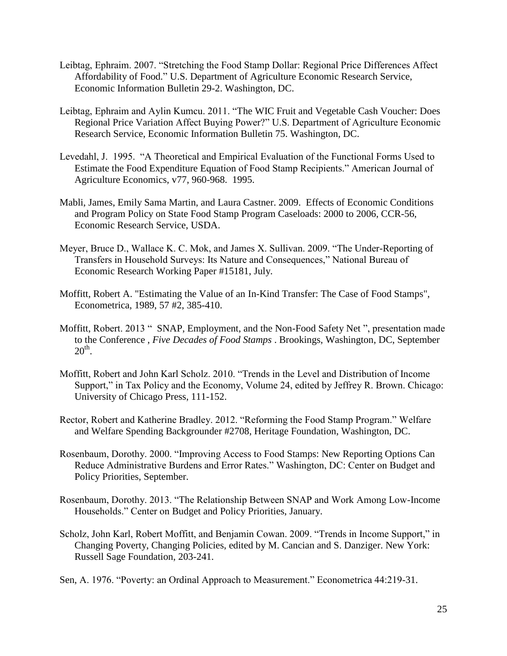- Leibtag, Ephraim. 2007. "Stretching the Food Stamp Dollar: Regional Price Differences Affect Affordability of Food." U.S. Department of Agriculture Economic Research Service, Economic Information Bulletin 29-2. Washington, DC.
- Leibtag, Ephraim and Aylin Kumcu. 2011. "The WIC Fruit and Vegetable Cash Voucher: Does Regional Price Variation Affect Buying Power?" U.S. Department of Agriculture Economic Research Service, Economic Information Bulletin 75. Washington, DC.
- Levedahl, J. 1995. "A Theoretical and Empirical Evaluation of the Functional Forms Used to Estimate the Food Expenditure Equation of Food Stamp Recipients." American Journal of Agriculture Economics, v77, 960-968. 1995.
- Mabli, James, Emily Sama Martin, and Laura Castner. 2009. Effects of Economic Conditions and Program Policy on State Food Stamp Program Caseloads: 2000 to 2006, CCR-56, Economic Research Service, USDA.
- Meyer, Bruce D., Wallace K. C. Mok, and James X. Sullivan. 2009. "The Under-Reporting of Transfers in Household Surveys: Its Nature and Consequences," National Bureau of Economic Research Working Paper #15181, July.
- Moffitt, Robert A. "Estimating the Value of an In-Kind Transfer: The Case of Food Stamps", Econometrica, 1989, 57 #2, 385-410.
- Moffitt, Robert. 2013 " SNAP, Employment, and the Non-Food Safety Net ", presentation made to the Conference , *Five Decades of Food Stamps* . Brookings, Washington, DC, September  $20<sup>th</sup>$ .
- Moffitt, Robert and John Karl Scholz. 2010. "Trends in the Level and Distribution of Income Support," in Tax Policy and the Economy, Volume 24, edited by Jeffrey R. Brown. Chicago: University of Chicago Press, 111-152.
- Rector, Robert and Katherine Bradley. 2012. "Reforming the Food Stamp Program." Welfare and Welfare Spending Backgrounder #2708, Heritage Foundation, Washington, DC.
- Rosenbaum, Dorothy. 2000. "Improving Access to Food Stamps: New Reporting Options Can Reduce Administrative Burdens and Error Rates." Washington, DC: Center on Budget and Policy Priorities, September.
- Rosenbaum, Dorothy. 2013. "The Relationship Between SNAP and Work Among Low-Income Households." Center on Budget and Policy Priorities, January.
- Scholz, John Karl, Robert Moffitt, and Benjamin Cowan. 2009. "Trends in Income Support," in Changing Poverty, Changing Policies, edited by M. Cancian and S. Danziger. New York: Russell Sage Foundation, 203-241.
- Sen, A. 1976. "Poverty: an Ordinal Approach to Measurement." Econometrica 44:219-31.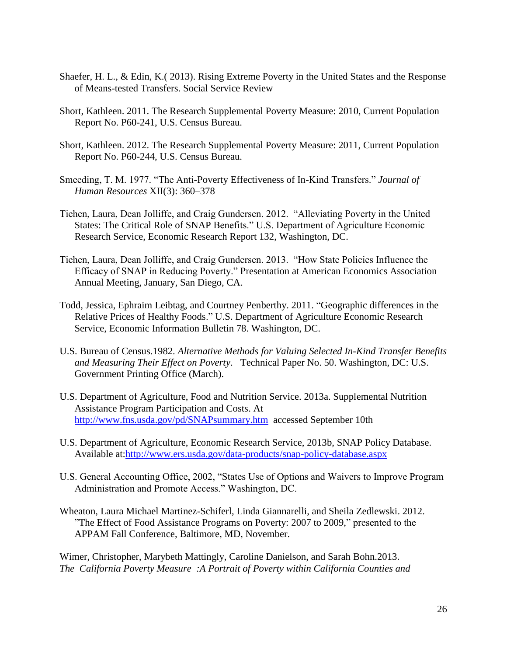- Shaefer, H. L., & Edin, K.( 2013). Rising Extreme Poverty in the United States and the Response of Means-tested Transfers. Social Service Review
- Short, Kathleen. 2011. The Research Supplemental Poverty Measure: 2010, Current Population Report No. P60-241, U.S. Census Bureau.
- Short, Kathleen. 2012. The Research Supplemental Poverty Measure: 2011, Current Population Report No. P60-244, U.S. Census Bureau.
- Smeeding, T. M. 1977. "The Anti-Poverty Effectiveness of In-Kind Transfers." *Journal of Human Resources* XII(3): 360–378
- Tiehen, Laura, Dean Jolliffe, and Craig Gundersen. 2012. "Alleviating Poverty in the United States: The Critical Role of SNAP Benefits." U.S. Department of Agriculture Economic Research Service, Economic Research Report 132, Washington, DC.
- Tiehen, Laura, Dean Jolliffe, and Craig Gundersen. 2013. "How State Policies Influence the Efficacy of SNAP in Reducing Poverty." Presentation at American Economics Association Annual Meeting, January, San Diego, CA.
- Todd, Jessica, Ephraim Leibtag, and Courtney Penberthy. 2011. "Geographic differences in the Relative Prices of Healthy Foods." U.S. Department of Agriculture Economic Research Service, Economic Information Bulletin 78. Washington, DC.
- U.S. Bureau of Census.1982. *Alternative Methods for Valuing Selected In-Kind Transfer Benefits and Measuring Their Effect on Poverty*. Technical Paper No. 50. Washington, DC: U.S. Government Printing Office (March).
- U.S. Department of Agriculture, Food and Nutrition Service. 2013a. Supplemental Nutrition Assistance Program Participation and Costs. At <http://www.fns.usda.gov/pd/SNAPsummary.htm>accessed September 10th
- U.S. Department of Agriculture, Economic Research Service, 2013b, SNAP Policy Database. Available at[:http://www.ers.usda.gov/data-products/snap-policy-database.aspx](http://www.ers.usda.gov/data-products/snap-policy-database.aspx)
- U.S. General Accounting Office, 2002, "States Use of Options and Waivers to Improve Program Administration and Promote Access." Washington, DC.
- Wheaton, Laura Michael Martinez-Schiferl, Linda Giannarelli, and Sheila Zedlewski. 2012. "The Effect of Food Assistance Programs on Poverty: 2007 to 2009," presented to the APPAM Fall Conference, Baltimore, MD, November.

Wimer, Christopher, Marybeth Mattingly, Caroline Danielson, and Sarah Bohn.2013. *The California Poverty Measure :A Portrait of Poverty within California Counties and*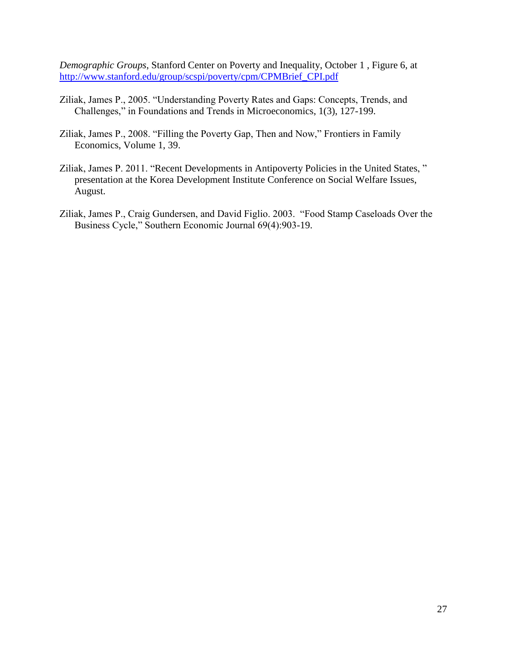*Demographic Groups*, Stanford Center on Poverty and Inequality, October 1 , Figure 6, at [http://www.stanford.edu/group/scspi/poverty/cpm/CPMBrief\\_CPI.pdf](http://www.stanford.edu/group/scspi/poverty/cpm/CPMBrief_CPI.pdf) 

- Ziliak, James P., 2005. "Understanding Poverty Rates and Gaps: Concepts, Trends, and Challenges," in Foundations and Trends in Microeconomics, 1(3), 127-199.
- Ziliak, James P., 2008. "Filling the Poverty Gap, Then and Now," Frontiers in Family Economics, Volume 1, 39.
- Ziliak, James P. 2011. "Recent Developments in Antipoverty Policies in the United States, " presentation at the Korea Development Institute Conference on Social Welfare Issues, August.
- Ziliak, James P., Craig Gundersen, and David Figlio. 2003. "Food Stamp Caseloads Over the Business Cycle," Southern Economic Journal 69(4):903-19.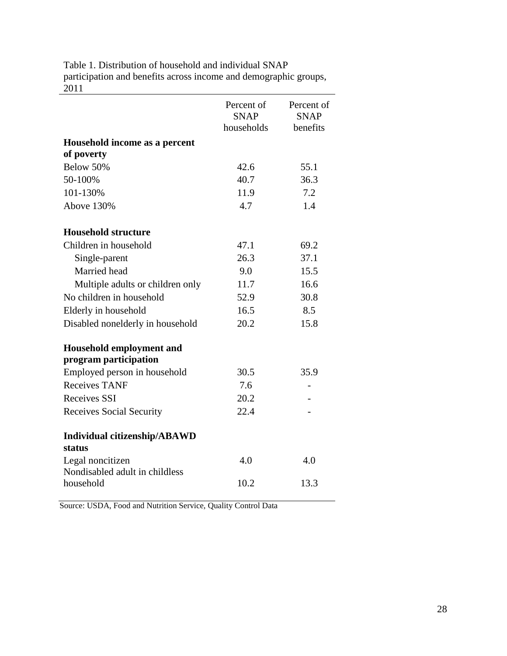| Table 1. Distribution of household and individual SNAP           |
|------------------------------------------------------------------|
| participation and benefits across income and demographic groups, |
| 2011                                                             |

|                                                    | Percent of<br><b>SNAP</b><br>households | Percent of<br><b>SNAP</b><br>benefits |
|----------------------------------------------------|-----------------------------------------|---------------------------------------|
| Household income as a percent                      |                                         |                                       |
| of poverty                                         |                                         |                                       |
| Below 50%                                          | 42.6                                    | 55.1                                  |
| 50-100%                                            | 40.7                                    | 36.3                                  |
| 101-130%                                           | 11.9                                    | 7.2                                   |
| Above 130%                                         | 4.7                                     | 1.4                                   |
| <b>Household structure</b>                         |                                         |                                       |
| Children in household                              | 47.1                                    | 69.2                                  |
| Single-parent                                      | 26.3                                    | 37.1                                  |
| Married head                                       | 9.0                                     | 15.5                                  |
| Multiple adults or children only                   | 11.7                                    | 16.6                                  |
| No children in household                           | 52.9                                    | 30.8                                  |
| Elderly in household                               | 16.5                                    | 8.5                                   |
| Disabled nonelderly in household                   | 20.2                                    | 15.8                                  |
| Household employment and<br>program participation  |                                         |                                       |
| Employed person in household                       | 30.5                                    | 35.9                                  |
| <b>Receives TANF</b>                               | 7.6                                     |                                       |
| <b>Receives SSI</b>                                | 20.2                                    |                                       |
| <b>Receives Social Security</b>                    | 22.4                                    |                                       |
| <b>Individual citizenship/ABAWD</b><br>status      |                                         |                                       |
| Legal noncitizen<br>Nondisabled adult in childless | 4.0                                     | 4.0                                   |
| household                                          | 10.2                                    | 13.3                                  |

Source: USDA, Food and Nutrition Service, Quality Control Data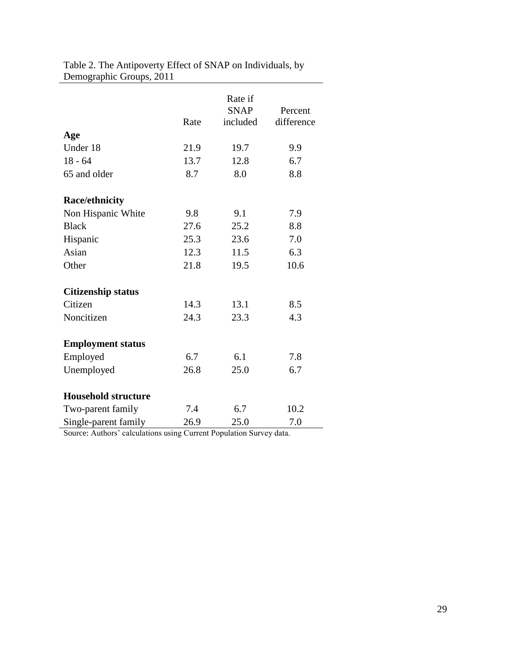|                            | Rate | Rate if<br><b>SNAP</b><br>included | Percent<br>difference |
|----------------------------|------|------------------------------------|-----------------------|
| Age                        |      |                                    |                       |
| Under 18                   | 21.9 | 19.7                               | 9.9                   |
| $18 - 64$                  | 13.7 | 12.8                               | 6.7                   |
| 65 and older               | 8.7  | 8.0                                | 8.8                   |
| <b>Race/ethnicity</b>      |      |                                    |                       |
| Non Hispanic White         | 9.8  | 9.1                                | 7.9                   |
| <b>Black</b>               | 27.6 | 25.2                               | 8.8                   |
| Hispanic                   | 25.3 | 23.6                               | 7.0                   |
| Asian                      | 12.3 | 11.5                               | 6.3                   |
| Other                      | 21.8 | 19.5                               | 10.6                  |
| <b>Citizenship status</b>  |      |                                    |                       |
| Citizen                    | 14.3 | 13.1                               | 8.5                   |
| Noncitizen                 | 24.3 | 23.3                               | 4.3                   |
| <b>Employment status</b>   |      |                                    |                       |
| Employed                   | 6.7  | 6.1                                | 7.8                   |
| Unemployed                 | 26.8 | 25.0                               | 6.7                   |
| <b>Household structure</b> |      |                                    |                       |
| Two-parent family          | 7.4  | 6.7                                | 10.2                  |
| Single-parent family       | 26.9 | 25.0                               | 7.0                   |

Table 2. The Antipoverty Effect of SNAP on Individuals, by Demographic Groups, 2011

Source: Authors' calculations using Current Population Survey data.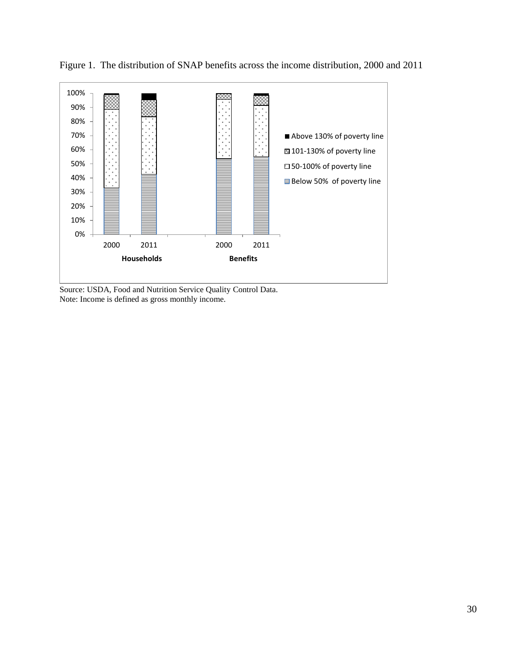

Figure 1. The distribution of SNAP benefits across the income distribution, 2000 and 2011

Source: USDA, Food and Nutrition Service Quality Control Data. Note: Income is defined as gross monthly income.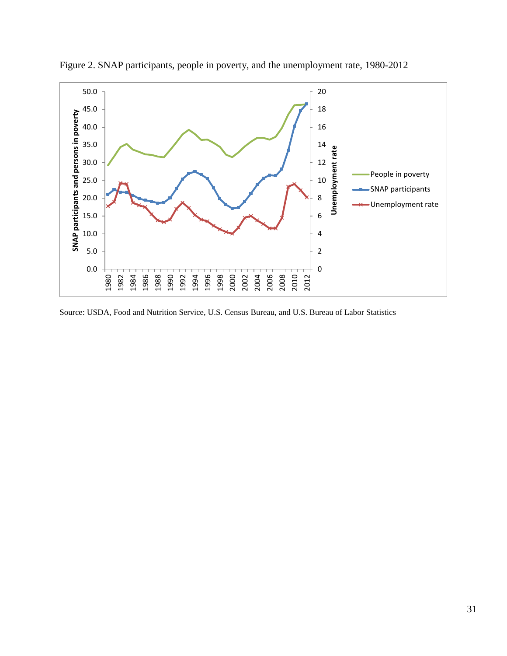

Figure 2. SNAP participants, people in poverty, and the unemployment rate, 1980-2012

Source: USDA, Food and Nutrition Service, U.S. Census Bureau, and U.S. Bureau of Labor Statistics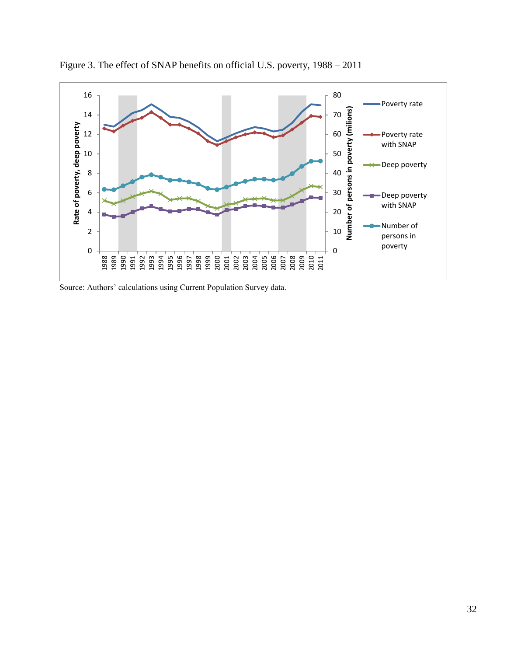

Figure 3. The effect of SNAP benefits on official U.S. poverty, 1988 – 2011

Source: Authors' calculations using Current Population Survey data.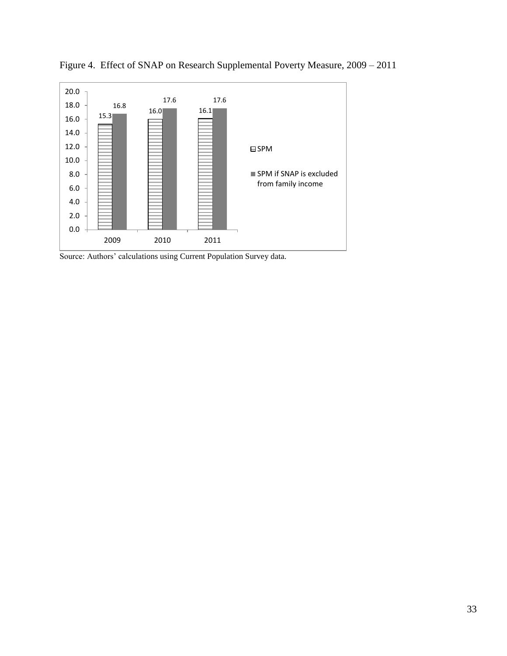

Figure 4. Effect of SNAP on Research Supplemental Poverty Measure, 2009 – 2011

Source: Authors' calculations using Current Population Survey data.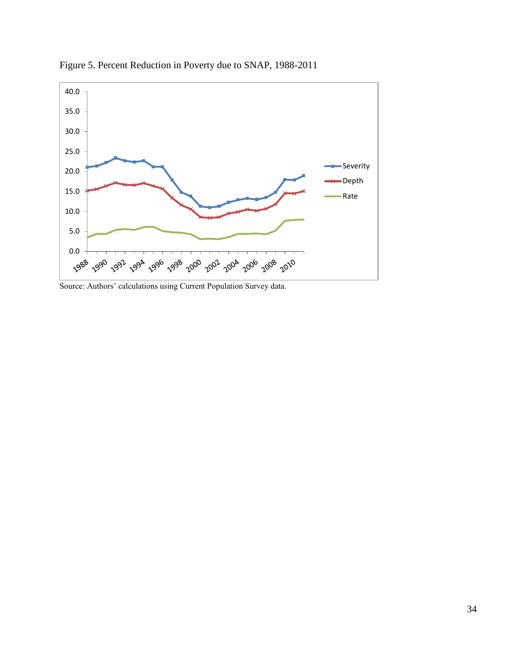

Figure 5. Percent Reduction in Poverty due to SNAP, 1988-2011

Source: Authors' calculations using Current Population Survey data.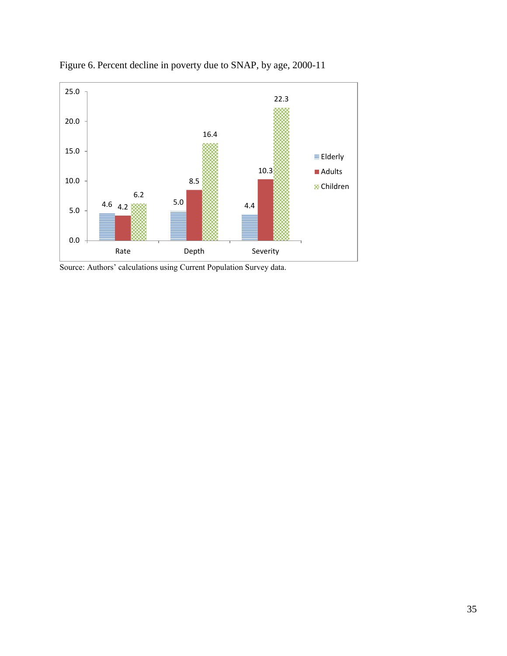

Figure 6. Percent decline in poverty due to SNAP, by age, 2000-11

Source: Authors' calculations using Current Population Survey data.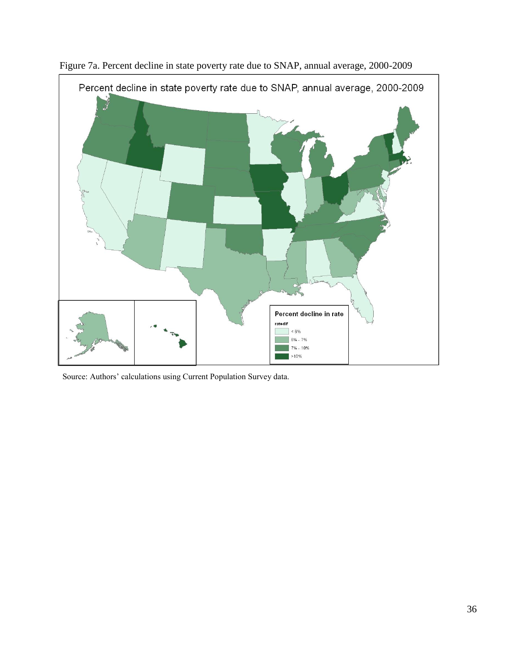

Figure 7a. Percent decline in state poverty rate due to SNAP, annual average, 2000-2009

Source: Authors' calculations using Current Population Survey data.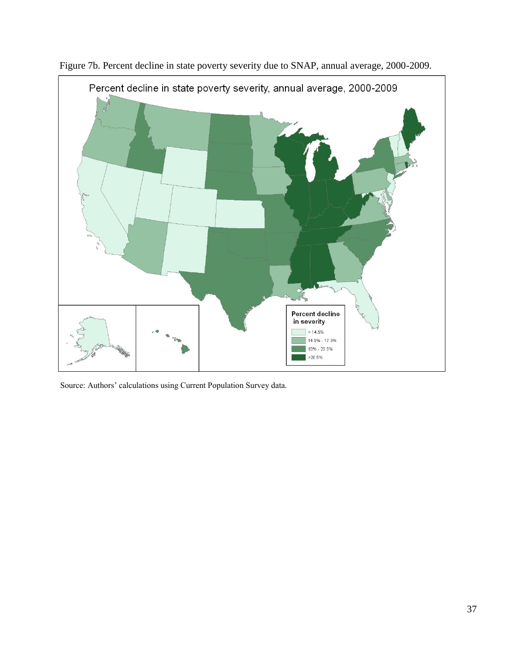

Figure 7b. Percent decline in state poverty severity due to SNAP, annual average, 2000-2009.

Source: Authors' calculations using Current Population Survey data.